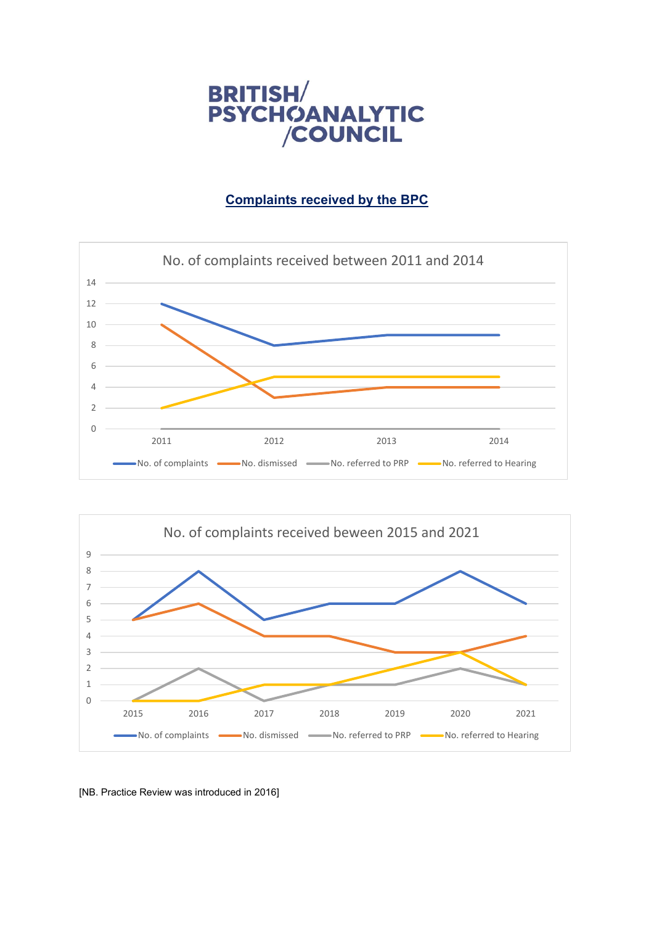

## **Complaints received by the BPC**





[NB. Practice Review was introduced in 2016]